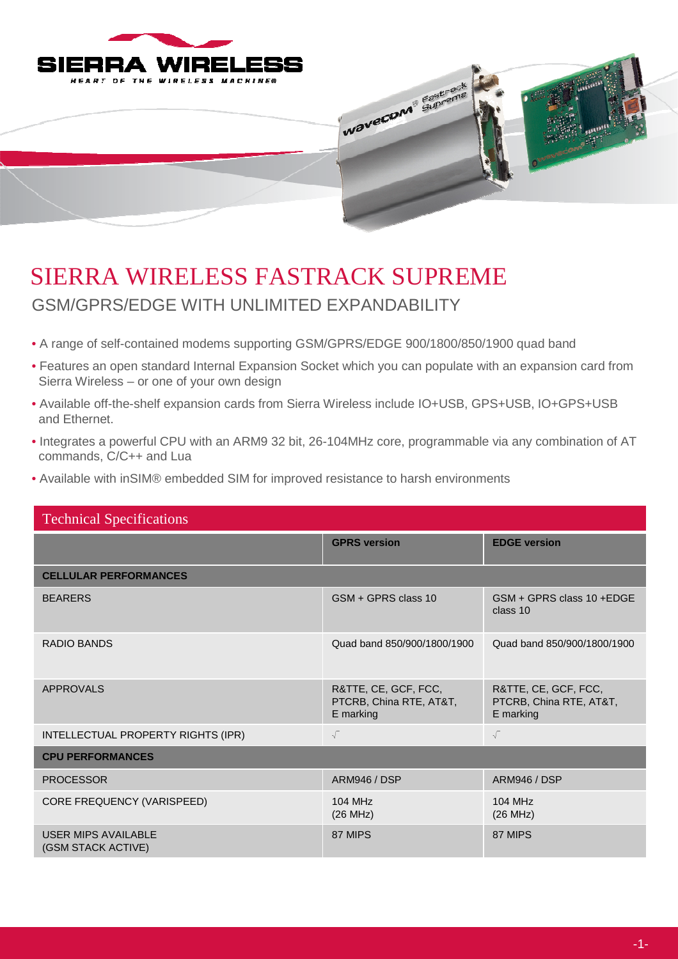



## SIERRA WIRELESS FASTRACK SUPREME GSM/GPRS/EDGE WITH UNLIMITED EXPANDABILITY

- A range of self-contained modems supporting GSM/GPRS/EDGE 900/1800/850/1900 quad band
- Features an open standard Internal Expansion Socket which you can populate with an expansion card from Sierra Wireless – or one of your own design
- Available off-the-shelf expansion cards from Sierra Wireless include IO+USB, GPS+USB, IO+GPS+USB and Ethernet.
- Integrates a powerful CPU with an ARM9 32 bit, 26-104MHz core, programmable via any combination of AT commands, C/C++ and Lua
- Available with inSIM® embedded SIM for improved resistance to harsh environments

| <b>Technical Specifications</b>           |                                                              |                                                              |  |
|-------------------------------------------|--------------------------------------------------------------|--------------------------------------------------------------|--|
|                                           | <b>GPRS</b> version                                          | <b>EDGE version</b>                                          |  |
| <b>CELLULAR PERFORMANCES</b>              |                                                              |                                                              |  |
| <b>BEARERS</b>                            | GSM + GPRS class 10                                          | GSM + GPRS class 10 + EDGE<br>class 10                       |  |
| RADIO BANDS                               | Quad band 850/900/1800/1900                                  | Quad band 850/900/1800/1900                                  |  |
| <b>APPROVALS</b>                          | R&TTE, CE, GCF, FCC,<br>PTCRB, China RTE, AT&T,<br>E marking | R&TTE, CE, GCF, FCC,<br>PTCRB, China RTE, AT&T,<br>E marking |  |
| INTELLECTUAL PROPERTY RIGHTS (IPR)        | $\sqrt{}$                                                    | $\sqrt{}$                                                    |  |
| <b>CPU PERFORMANCES</b>                   |                                                              |                                                              |  |
| <b>PROCESSOR</b>                          | <b>ARM946 / DSP</b>                                          | <b>ARM946 / DSP</b>                                          |  |
| CORE FREQUENCY (VARISPEED)                | 104 MHz<br>(26 MHz)                                          | 104 MHz<br>(26 MHz)                                          |  |
| USER MIPS AVAILABLE<br>(GSM STACK ACTIVE) | 87 MIPS                                                      | 87 MIPS                                                      |  |